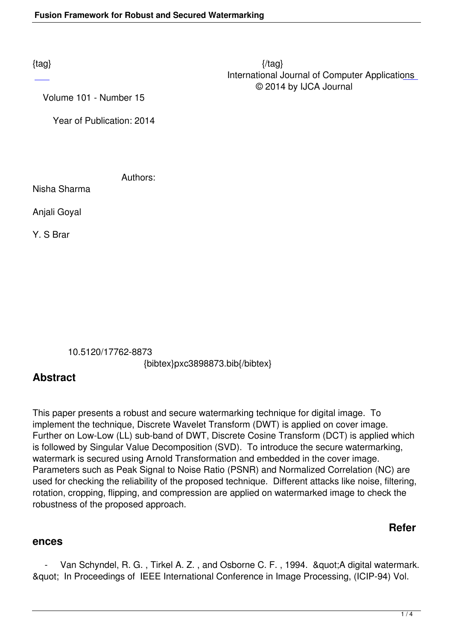$\{tag\}$  International Journal of Computer Applications © 2014 by IJCA Journal

Volume 101 - Number 15

Year of Publication: 2014

Authors:

Nisha Sharma

Anjali Goyal

Y. S Brar

10.5120/17762-8873

{bibtex}pxc3898873.bib{/bibtex}

## **Abstract**

This paper presents a robust and secure watermarking technique for digital image. To implement the technique, Discrete Wavelet Transform (DWT) is applied on cover image. Further on Low-Low (LL) sub-band of DWT, Discrete Cosine Transform (DCT) is applied which is followed by Singular Value Decomposition (SVD). To introduce the secure watermarking, watermark is secured using Arnold Transformation and embedded in the cover image. Parameters such as Peak Signal to Noise Ratio (PSNR) and Normalized Correlation (NC) are used for checking the reliability of the proposed technique. Different attacks like noise, filtering, rotation, cropping, flipping, and compression are applied on watermarked image to check the robustness of the proposed approach.

## **Refer**

## **ences**

Van Schyndel, R. G., Tirkel A. Z., and Osborne C. F., 1994. & auot; A digital watermark. " In Proceedings of IEEE International Conference in Image Processing, (ICIP-94) Vol.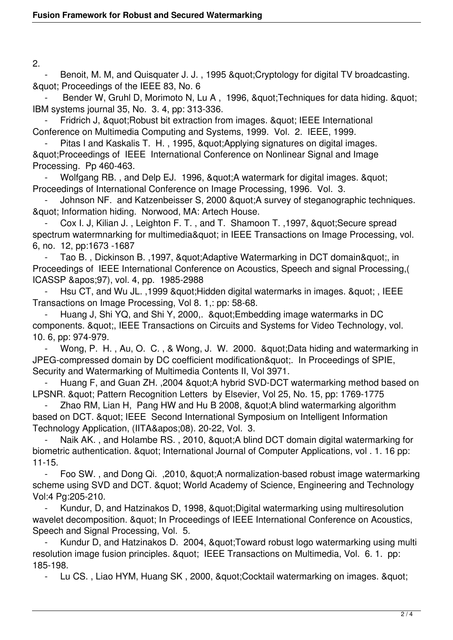2.

Benoit, M. M, and Quisquater J. J., 1995 & quot; Cryptology for digital TV broadcasting. & quot; Proceedings of the IEEE 83, No. 6

Bender W, Gruhl D, Morimoto N, Lu A, 1996, " Techniques for data hiding. " IBM systems journal 35, No. 3. 4, pp: 313-336.

Fridrich J, & quot; Robust bit extraction from images. & quot; IEEE International Conference on Multimedia Computing and Systems, 1999. Vol. 2. IEEE, 1999.

Pitas I and Kaskalis T. H., 1995, & quot; Applying signatures on digital images. "Proceedings of IEEE International Conference on Nonlinear Signal and Image Processing. Pp 460-463.

Wolfgang RB., and Delp EJ. 1996, " A watermark for digital images. " Proceedings of International Conference on Image Processing, 1996. Vol. 3.

Johnson NF. and Katzenbeisser S, 2000 & auot: A survey of steganographic techniques. & quot; Information hiding. Norwood, MA: Artech House.

Cox I. J, Kilian J., Leighton F. T., and T. Shamoon T., 1997, & quot: Secure spread spectrum watermnarking for multimedia" in IEEE Transactions on Image Processing, vol. 6, no. 12, pp:1673 -1687

Tao B., Dickinson B., 1997, & auot: Adaptive Watermarking in DCT domain & quot:, in Proceedings of IEEE International Conference on Acoustics, Speech and signal Processing,( ICASSP '97), vol. 4, pp. 1985-2988

Hsu CT, and Wu JL., 1999 " Hidden digital watermarks in images. ", IEEE Transactions on Image Processing, Vol 8. 1,: pp: 58-68.

Huang J, Shi YQ, and Shi Y, 2000,. & quot; Embedding image watermarks in DC components. & quot;, IEEE Transactions on Circuits and Systems for Video Technology, vol. 10. 6, pp: 974-979.

Wong, P. H., Au, O. C., & Wong, J. W. 2000. & quot; Data hiding and watermarking in JPEG-compressed domain by DC coefficient modification&quot:. In Proceedings of SPIE, Security and Watermarking of Multimedia Contents II, Vol 3971.

Huang F, and Guan ZH. , 2004 & guot; A hybrid SVD-DCT watermarking method based on LPSNR. " Pattern Recognition Letters by Elsevier, Vol 25, No. 15, pp: 1769-1775

Zhao RM, Lian H, Pang HW and Hu B 2008, "A blind watermarking algorithm based on DCT. & quot; IEEE Second International Symposium on Intelligent Information Technology Application, (IITA&apos:08). 20-22, Vol. 3.

Naik AK., and Holambe RS., 2010, " A blind DCT domain digital watermarking for biometric authentication. & quot; International Journal of Computer Applications, vol. 1. 16 pp: 11-15.

Foo SW., and Dong Qi., 2010, " A normalization-based robust image watermarking scheme using SVD and DCT. " World Academy of Science, Engineering and Technology Vol:4 Pg:205-210.

Kundur, D, and Hatzinakos D, 1998, " Digital watermarking using multiresolution wavelet decomposition. & quot: In Proceedings of IEEE International Conference on Acoustics, Speech and Signal Processing, Vol. 5.

Kundur D, and Hatzinakos D. 2004, " Toward robust logo watermarking using multi resolution image fusion principles. & aupt: IEEE Transactions on Multimedia, Vol. 6. 1. pp: 185-198.

Lu CS., Liao HYM, Huang SK, 2000, & quot; Cocktail watermarking on images. & quot;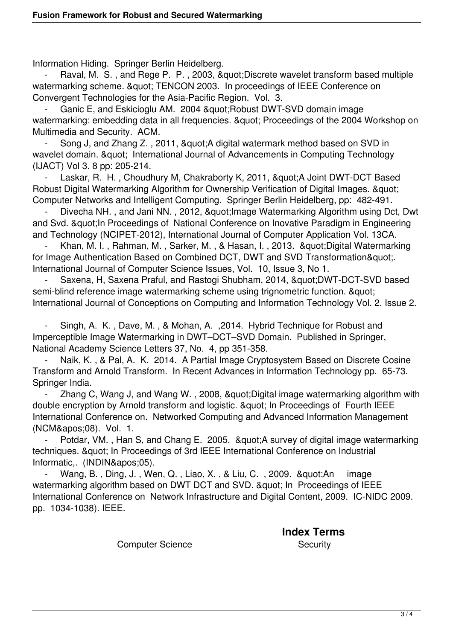Information Hiding. Springer Berlin Heidelberg.

Raval, M. S., and Rege P. P., 2003, & quot; Discrete wavelet transform based multiple watermarking scheme. & quot; TENCON 2003. In proceedings of IEEE Conference on Convergent Technologies for the Asia-Pacific Region. Vol. 3.

Ganic E, and Eskicioglu AM. 2004 " Robust DWT-SVD domain image watermarking: embedding data in all frequencies. & quot; Proceedings of the 2004 Workshop on Multimedia and Security. ACM.

Song J, and Zhang Z., 2011, & auot; A digital watermark method based on SVD in wavelet domain. & quot: International Journal of Advancements in Computing Technology (IJACT) Vol 3. 8 pp: 205-214.

Laskar, R. H., Choudhury M, Chakraborty K, 2011, "A Joint DWT-DCT Based Robust Digital Watermarking Algorithm for Ownership Verification of Digital Images. & quot: Computer Networks and Intelligent Computing. Springer Berlin Heidelberg, pp: 482-491.

Divecha NH., and Jani NN., 2012, " Image Watermarking Algorithm using Dct, Dwt and Svd. & quot; In Proceedings of National Conference on Inovative Paradigm in Engineering and Technology (NCIPET-2012), International Journal of Computer Application Vol. 13CA.

Khan, M. I., Rahman, M., Sarker, M., & Hasan, I., 2013. & Quot; Digital Watermarking for Image Authentication Based on Combined DCT, DWT and SVD Transformation&quot:. International Journal of Computer Science Issues, Vol. 10, Issue 3, No 1.

Saxena, H, Saxena Praful, and Rastogi Shubham, 2014, &quot:DWT-DCT-SVD based semi-blind reference image watermarking scheme using trignometric function. & quot; International Journal of Conceptions on Computing and Information Technology Vol. 2, Issue 2.

Singh, A. K., Dave, M., & Mohan, A., 2014. Hybrid Technique for Robust and Imperceptible Image Watermarking in DWT–DCT–SVD Domain. Published in Springer, National Academy Science Letters 37, No. 4, pp 351-358.

Naik, K., & Pal, A. K. 2014. A Partial Image Cryptosystem Based on Discrete Cosine Transform and Arnold Transform. In Recent Advances in Information Technology pp. 65-73. Springer India.

Zhang C, Wang J, and Wang W., 2008, " Digital image watermarking algorithm with double encryption by Arnold transform and logistic. & quot: In Proceedings of Fourth IEEE International Conference on. Networked Computing and Advanced Information Management (NCM&apos:08). Vol. 1.

Potdar, VM., Han S, and Chang E. 2005, & quot; A survey of digital image watermarking techniques. & quot; In Proceedings of 3rd IEEE International Conference on Industrial Informatic.. (INDIN&apos:05).

Wang, B., Ding, J., Wen, Q., Liao, X., & Liu, C., 2009. & quot; An image watermarking algorithm based on DWT DCT and SVD. " In Proceedings of IEEE International Conference on Network Infrastructure and Digital Content, 2009. IC-NIDC 2009. pp. 1034-1038). IEEE.

**Index Terms** 

Computer Science Security